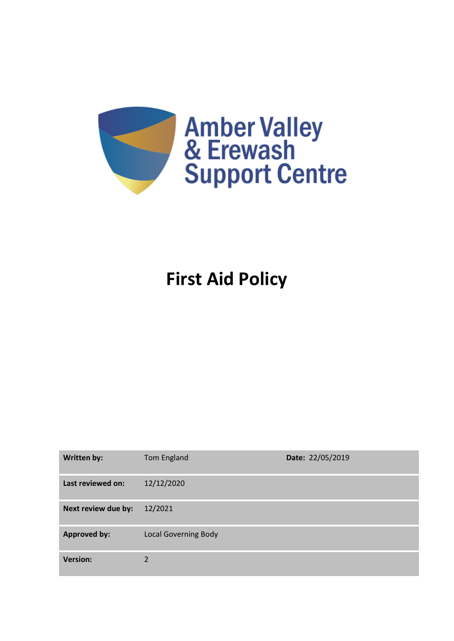

# **First Aid Policy**

| <b>Written by:</b>  | Tom England                 | Date: 22/05/2019 |
|---------------------|-----------------------------|------------------|
| Last reviewed on:   | 12/12/2020                  |                  |
| Next review due by: | 12/2021                     |                  |
| <b>Approved by:</b> | <b>Local Governing Body</b> |                  |
| <b>Version:</b>     | 2                           |                  |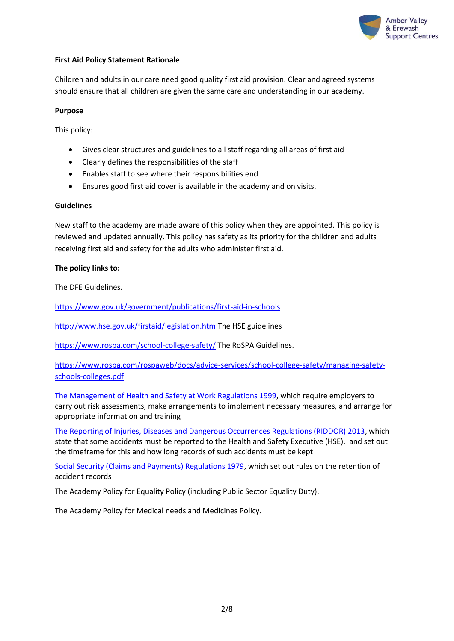

## **First Aid Policy Statement Rationale**

Children and adults in our care need good quality first aid provision. Clear and agreed systems should ensure that all children are given the same care and understanding in our academy.

## **Purpose**

This policy:

- Gives clear structures and guidelines to all staff regarding all areas of first aid
- Clearly defines the responsibilities of the staff
- Enables staff to see where their responsibilities end
- Ensures good first aid cover is available in the academy and on visits.

#### **Guidelines**

New staff to the academy are made aware of this policy when they are appointed. This policy is reviewed and updated annually. This policy has safety as its priority for the children and adults receiving first aid and safety for the adults who administer first aid.

#### **The policy links to:**

The DFE Guidelines.

<https://www.gov.uk/government/publications/first-aid-in-schools>

<http://www.hse.gov.uk/firstaid/legislation.htm> The HSE guidelines

<https://www.rospa.com/school-college-safety/> The RoSPA Guidelines.

[https://www.rospa.com/rospaweb/docs/advice-services/school-college-safety/managing-safety](https://www.rospa.com/rospaweb/docs/advice-services/school-college-safety/managing-safety-schools-colleges.pdf)[schools-colleges.pdf](https://www.rospa.com/rospaweb/docs/advice-services/school-college-safety/managing-safety-schools-colleges.pdf)

[The Management of Health and Safety at Work Regulations 1999,](http://www.legislation.gov.uk/uksi/1999/3242/contents/made) which require employers to carry out risk assessments, make arrangements to implement necessary measures, and arrange for appropriate information and training

[The Reporting of Injuries, Diseases and Dangerous Occurrences Regulations \(RIDDOR\) 2013,](http://www.legislation.gov.uk/uksi/2013/1471/schedule/1/paragraph/1/made) which state that some accidents must be reported to the Health and Safety Executive (HSE), and set out the timeframe for this and how long records of such accidents must be kept

[Social Security \(Claims and Payments\) Regulations 1979,](http://www.legislation.gov.uk/uksi/1979/628) which set out rules on the retention of accident records

The Academy Policy for Equality Policy (including Public Sector Equality Duty).

The Academy Policy for Medical needs and Medicines Policy.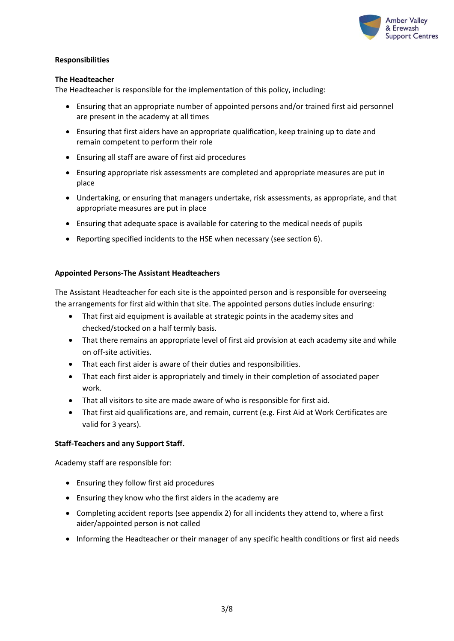

## **Responsibilities**

## **The Headteacher**

The Headteacher is responsible for the implementation of this policy, including:

- Ensuring that an appropriate number of appointed persons and/or trained first aid personnel are present in the academy at all times
- Ensuring that first aiders have an appropriate qualification, keep training up to date and remain competent to perform their role
- Ensuring all staff are aware of first aid procedures
- Ensuring appropriate risk assessments are completed and appropriate measures are put in place
- Undertaking, or ensuring that managers undertake, risk assessments, as appropriate, and that appropriate measures are put in place
- Ensuring that adequate space is available for catering to the medical needs of pupils
- Reporting specified incidents to the HSE when necessary (see section 6).

## **Appointed Persons-The Assistant Headteachers**

The Assistant Headteacher for each site is the appointed person and is responsible for overseeing the arrangements for first aid within that site. The appointed persons duties include ensuring:

- That first aid equipment is available at strategic points in the academy sites and checked/stocked on a half termly basis.
- That there remains an appropriate level of first aid provision at each academy site and while on off-site activities.
- That each first aider is aware of their duties and responsibilities.
- That each first aider is appropriately and timely in their completion of associated paper work.
- That all visitors to site are made aware of who is responsible for first aid.
- That first aid qualifications are, and remain, current (e.g. First Aid at Work Certificates are valid for 3 years).

## **Staff-Teachers and any Support Staff.**

Academy staff are responsible for:

- Ensuring they follow first aid procedures
- Ensuring they know who the first aiders in the academy are
- Completing accident reports (see appendix 2) for all incidents they attend to, where a first aider/appointed person is not called
- Informing the Headteacher or their manager of any specific health conditions or first aid needs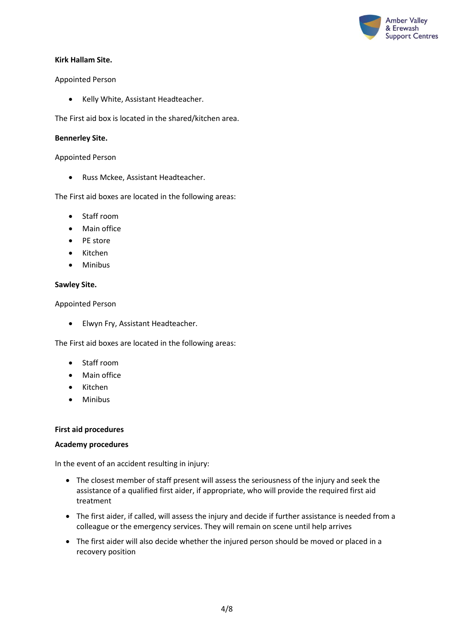

## **Kirk Hallam Site.**

## Appointed Person

• Kelly White, Assistant Headteacher.

The First aid box is located in the shared/kitchen area.

## **Bennerley Site.**

Appointed Person

• Russ Mckee, Assistant Headteacher.

The First aid boxes are located in the following areas:

- Staff room
- Main office
- PE store
- Kitchen
- Minibus

## **Sawley Site.**

Appointed Person

• Elwyn Fry, Assistant Headteacher.

The First aid boxes are located in the following areas:

- Staff room
- Main office
- Kitchen
- Minibus

## **First aid procedures**

## **Academy procedures**

In the event of an accident resulting in injury:

- The closest member of staff present will assess the seriousness of the injury and seek the assistance of a qualified first aider, if appropriate, who will provide the required first aid treatment
- The first aider, if called, will assess the injury and decide if further assistance is needed from a colleague or the emergency services. They will remain on scene until help arrives
- The first aider will also decide whether the injured person should be moved or placed in a recovery position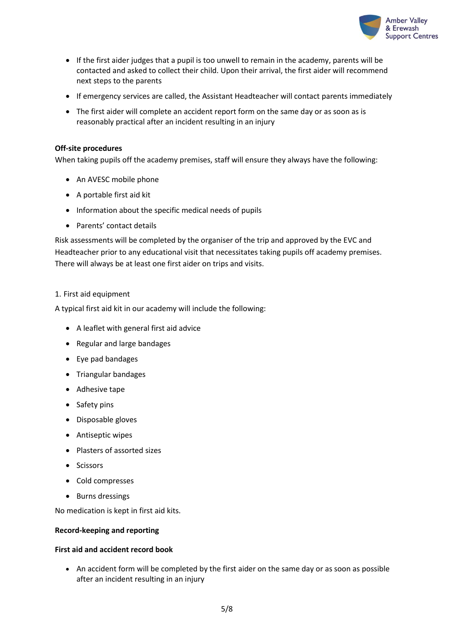

- If the first aider judges that a pupil is too unwell to remain in the academy, parents will be contacted and asked to collect their child. Upon their arrival, the first aider will recommend next steps to the parents
- If emergency services are called, the Assistant Headteacher will contact parents immediately
- The first aider will complete an accident report form on the same day or as soon as is reasonably practical after an incident resulting in an injury

## **Off-site procedures**

When taking pupils off the academy premises, staff will ensure they always have the following:

- An AVESC mobile phone
- A portable first aid kit
- Information about the specific medical needs of pupils
- Parents' contact details

Risk assessments will be completed by the organiser of the trip and approved by the EVC and Headteacher prior to any educational visit that necessitates taking pupils off academy premises. There will always be at least one first aider on trips and visits.

## 1. First aid equipment

A typical first aid kit in our academy will include the following:

- A leaflet with general first aid advice
- Regular and large bandages
- Eye pad bandages
- Triangular bandages
- Adhesive tape
- Safety pins
- Disposable gloves
- Antiseptic wipes
- Plasters of assorted sizes
- Scissors
- Cold compresses
- Burns dressings

No medication is kept in first aid kits.

## **Record-keeping and reporting**

## **First aid and accident record book**

• An accident form will be completed by the first aider on the same day or as soon as possible after an incident resulting in an injury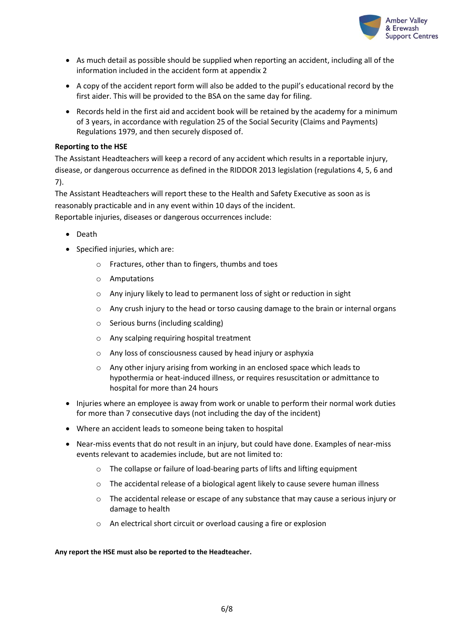

- As much detail as possible should be supplied when reporting an accident, including all of the information included in the accident form at appendix 2
- A copy of the accident report form will also be added to the pupil's educational record by the first aider. This will be provided to the BSA on the same day for filing.
- Records held in the first aid and accident book will be retained by the academy for a minimum of 3 years, in accordance with regulation 25 of the Social Security (Claims and Payments) Regulations 1979, and then securely disposed of.

## **Reporting to the HSE**

The Assistant Headteachers will keep a record of any accident which results in a reportable injury, disease, or dangerous occurrence as defined in the RIDDOR 2013 legislation (regulations 4, 5, 6 and 7).

The Assistant Headteachers will report these to the Health and Safety Executive as soon as is reasonably practicable and in any event within 10 days of the incident. Reportable injuries, diseases or dangerous occurrences include:

- Death
- Specified injuries, which are:
	- o Fractures, other than to fingers, thumbs and toes
	- o Amputations
	- o Any injury likely to lead to permanent loss of sight or reduction in sight
	- o Any crush injury to the head or torso causing damage to the brain or internal organs
	- o Serious burns (including scalding)
	- o Any scalping requiring hospital treatment
	- o Any loss of consciousness caused by head injury or asphyxia
	- o Any other injury arising from working in an enclosed space which leads to hypothermia or heat-induced illness, or requires resuscitation or admittance to hospital for more than 24 hours
- Injuries where an employee is away from work or unable to perform their normal work duties for more than 7 consecutive days (not including the day of the incident)
- Where an accident leads to someone being taken to hospital
- Near-miss events that do not result in an injury, but could have done. Examples of near-miss events relevant to academies include, but are not limited to:
	- o The collapse or failure of load-bearing parts of lifts and lifting equipment
	- o The accidental release of a biological agent likely to cause severe human illness
	- o The accidental release or escape of any substance that may cause a serious injury or damage to health
	- o An electrical short circuit or overload causing a fire or explosion

#### **Any report the HSE must also be reported to the Headteacher.**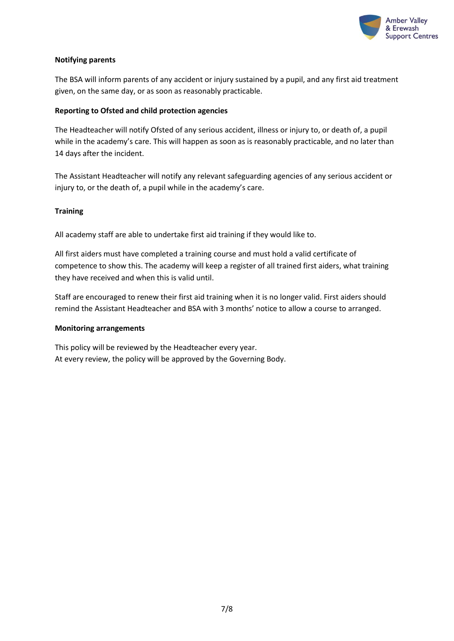

## **Notifying parents**

The BSA will inform parents of any accident or injury sustained by a pupil, and any first aid treatment given, on the same day, or as soon as reasonably practicable.

## **Reporting to Ofsted and child protection agencies**

The Headteacher will notify Ofsted of any serious accident, illness or injury to, or death of, a pupil while in the academy's care. This will happen as soon as is reasonably practicable, and no later than 14 days after the incident.

The Assistant Headteacher will notify any relevant safeguarding agencies of any serious accident or injury to, or the death of, a pupil while in the academy's care.

# **Training**

All academy staff are able to undertake first aid training if they would like to.

All first aiders must have completed a training course and must hold a valid certificate of competence to show this. The academy will keep a register of all trained first aiders, what training they have received and when this is valid until.

Staff are encouraged to renew their first aid training when it is no longer valid. First aiders should remind the Assistant Headteacher and BSA with 3 months' notice to allow a course to arranged.

# **Monitoring arrangements**

This policy will be reviewed by the Headteacher every year. At every review, the policy will be approved by the Governing Body.